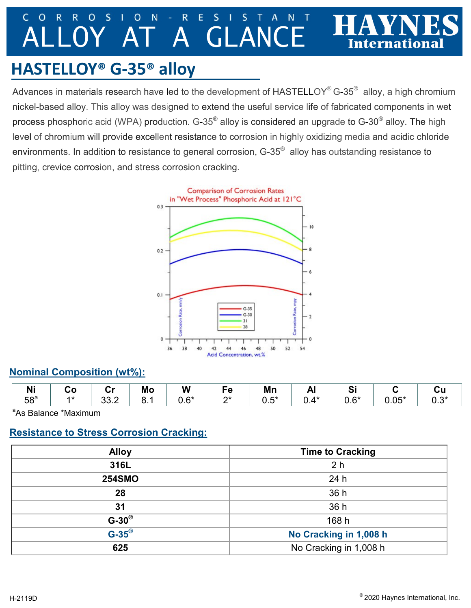#### $\mathsf{C}$  $\Omega$ R  $\overline{\mathsf{R}}$  $\Omega$ S O N R E S N A GLAN

# **HASTELLOY® G-35® alloy**

Advances in materials research have led to the development of <code>HASTELLOY®</code> G-35 $^{\circledast}$  alloy, a high chromium nickel-based alloy. This alloy was designed to extend the useful service life of fabricated components in wet process phosphoric acid (WPA) production. G-35 $^{\circledast}$  alloy is considered an upgrade to G-30 $^{\circledast}$  alloy. The high level of chromium will provide excellent resistance to corrosion in highly oxidizing media and acidic chloride environments. In addition to resistance to general corrosion, G-35 $^\circ$  alloy has outstanding resistance to pitting, crevice corrosion, and stress corrosion cracking.



### **Nominal Composition (wt%):**

| .<br>ш          | - - | . .<br>--   | Mo | W                     | - 72<br>τ | Mn                  | -<br>−…     | v.                    |         |     |
|-----------------|-----|-------------|----|-----------------------|-----------|---------------------|-------------|-----------------------|---------|-----|
| 58 <sup>a</sup> |     | nn.<br>J∪.∠ | ◡. | $\mathsf{C}^*$<br>∪.∪ | n*        | $-1$<br>$ -$<br>∪.∪ | $A*$<br>◡.⊤ | $\mathsf{C}$ *<br>v.v | $J.05*$ | 0.3 |

<sup>a</sup>As Balance \*Maximum

## **Resistance to Stress Corrosion Cracking:**

| <b>Alloy</b>       | <b>Time to Cracking</b> |
|--------------------|-------------------------|
| 316L               | 2 <sub>h</sub>          |
| <b>254SMO</b>      | 24 h                    |
| 28                 | 36 h                    |
| 31                 | 36 h                    |
| $G-30^\circ$       | 168 h                   |
| $G-35^{\circledR}$ | No Cracking in 1,008 h  |
| 625                | No Cracking in 1,008 h  |

Internationa